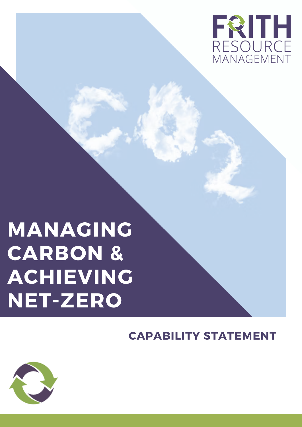

# **MANAGING CARBON & ACHIEVING NET-ZERO**

#### **CAPABILITY STATEMENT**

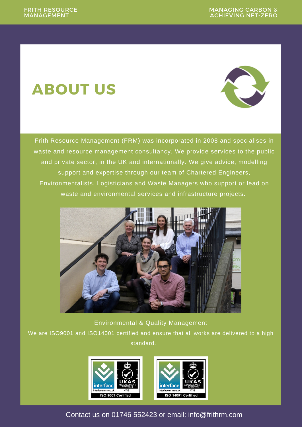# **ABOUT US**



Frith Resource Management (FRM) was incorporated in 2008 and specialises in waste and resource management consultancy. We provide services to the public and private sector, in the UK and internationally. We give advice, modelling support and expertise through our team of Chartered Engineers, Environmentalists, Logisticians and Waste Managers who support or lead on waste and environmental services and infrastructure projects.



Environmental & Quality Management

We are ISO9001 and ISO14001 certified and ensure that all works are delivered to a high standard.



Contact us on 01746 [552423](tel:01746%20552423) or email: info@frithrm.com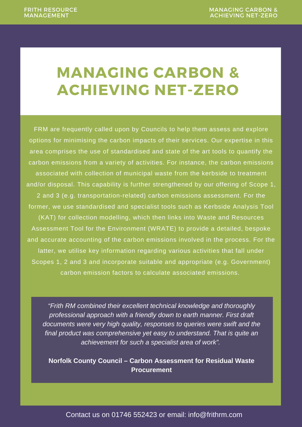### **MANAGING CARBON & ACHIEVING NET-ZERO**

FRM are frequently called upon by Councils to help them assess and explore options for minimising the carbon impacts of their services. Our expertise in this area comprises the use of standardised and state of the art tools to quantify the carbon emissions from a variety of activities. For instance, the carbon emissions associated with collection of municipal waste from the kerbside to treatment and/or disposal. This capability is further strengthened by our offering of Scope 1, 2 and 3 (e.g. transportation-related) carbon emissions assessment. For the former, we use standardised and specialist tools such as Kerbside Analysis Tool (KAT) for collection modelling, which then links into Waste and Resources Assessment Tool for the Environment (WRATE) to provide a detailed, bespoke and accurate accounting of the carbon emissions involved in the process. For the latter, we utilise key information regarding various activities that fall under Scopes 1, 2 and 3 and incorporate suitable and appropriate (e.g. Government) carbon emission factors to calculate associated emissions.

*"Frith RM combined their excellent technical knowledge and thoroughly professional approach with a friendly down to earth manner. First draft documents were very high quality, responses to queries were swift and the final product was comprehensive yet easy to understand. That is quite an achievement for such a specialist area of work".*

**Norfolk County Council – Carbon Assessment for Residual Waste Procurement**

Contact us on 01746 [552423](tel:01746%20552423) or email: info@frithrm.com